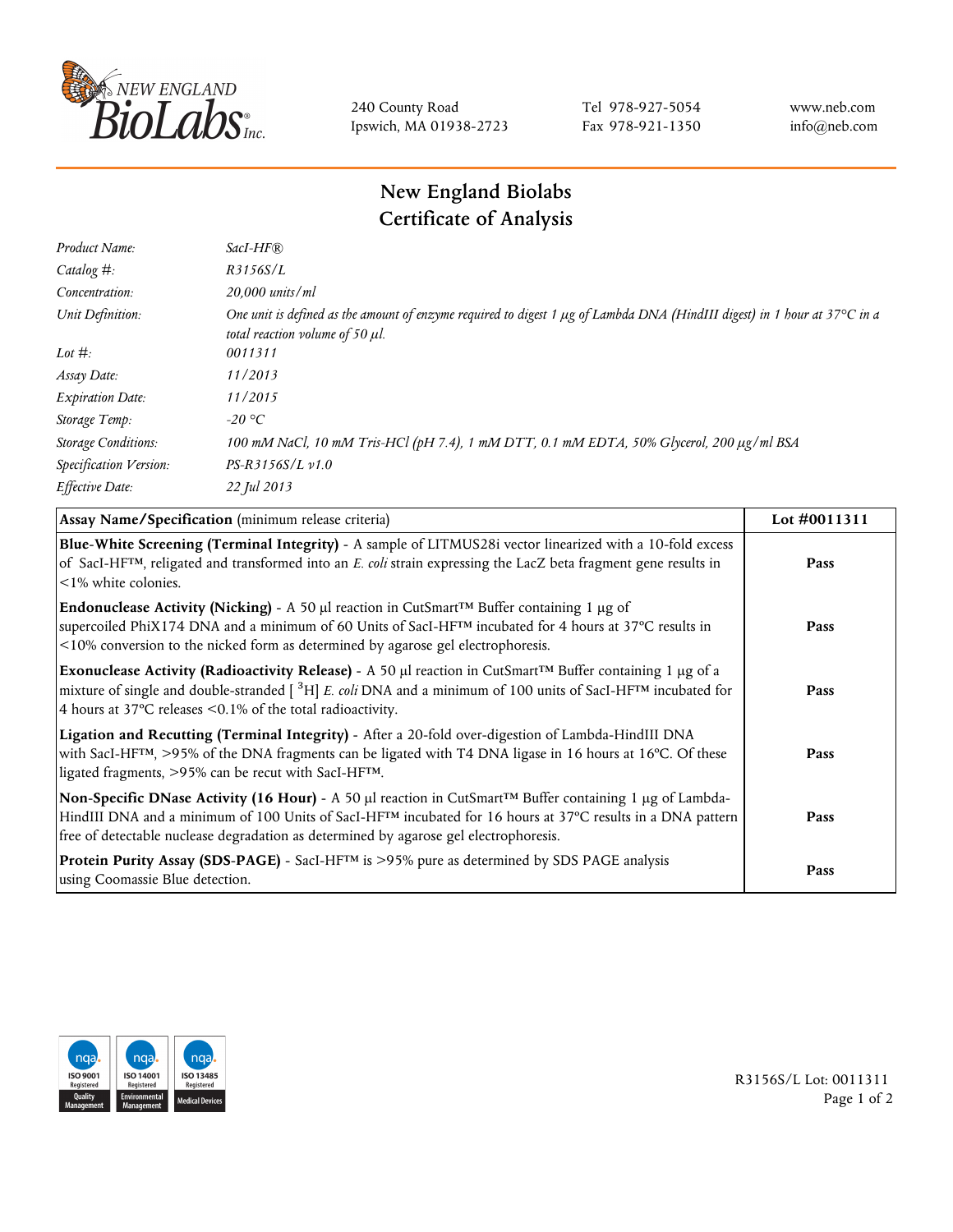

240 County Road Ipswich, MA 01938-2723 Tel 978-927-5054 Fax 978-921-1350 www.neb.com info@neb.com

## **New England Biolabs Certificate of Analysis**

| Product Name:              | $SacI-HF$ $R$                                                                                                                                                          |
|----------------------------|------------------------------------------------------------------------------------------------------------------------------------------------------------------------|
| Catalog #:                 | R3156S/L                                                                                                                                                               |
| Concentration:             | $20,000$ units/ml                                                                                                                                                      |
| Unit Definition:           | One unit is defined as the amount of enzyme required to digest 1 $\mu$ g of Lambda DNA (HindIII digest) in 1 hour at 37°C in a<br>total reaction volume of 50 $\mu$ l. |
| Lot $\#$ :                 | 0011311                                                                                                                                                                |
| Assay Date:                | 11/2013                                                                                                                                                                |
| <b>Expiration Date:</b>    | 11/2015                                                                                                                                                                |
| Storage Temp:              | -20 °C                                                                                                                                                                 |
| <b>Storage Conditions:</b> | 100 mM NaCl, 10 mM Tris-HCl (pH 7.4), 1 mM DTT, 0.1 mM EDTA, 50% Glycerol, 200 μg/ml BSA                                                                               |
| Specification Version:     | $PS-R3156S/L \nu 1.0$                                                                                                                                                  |
| Effective Date:            | 22 Jul 2013                                                                                                                                                            |

| Assay Name/Specification (minimum release criteria)                                                                                                                                                                                                                                                                              | Lot #0011311 |
|----------------------------------------------------------------------------------------------------------------------------------------------------------------------------------------------------------------------------------------------------------------------------------------------------------------------------------|--------------|
| Blue-White Screening (Terminal Integrity) - A sample of LITMUS28i vector linearized with a 10-fold excess<br>of SacI-HF <sup>TM</sup> , religated and transformed into an E. coli strain expressing the LacZ beta fragment gene results in<br>$\leq$ 1% white colonies.                                                          | Pass         |
| <b>Endonuclease Activity (Nicking)</b> - A 50 µl reaction in CutSmart <sup>TM</sup> Buffer containing 1 µg of<br>supercoiled PhiX174 DNA and a minimum of 60 Units of SacI-HFTM incubated for 4 hours at 37°C results in<br><10% conversion to the nicked form as determined by agarose gel electrophoresis.                     | Pass         |
| Exonuclease Activity (Radioactivity Release) - A 50 $\mu$ l reaction in CutSmart <sup>TM</sup> Buffer containing 1 $\mu$ g of a<br>mixture of single and double-stranded $[{}^{3}H]$ E. coli DNA and a minimum of 100 units of SacI-HF <sup>TM</sup> incubated for<br>4 hours at 37°C releases <0.1% of the total radioactivity. | Pass         |
| Ligation and Recutting (Terminal Integrity) - After a 20-fold over-digestion of Lambda-HindIII DNA<br>with SacI-HF <sup>TM</sup> , >95% of the DNA fragments can be ligated with T4 DNA ligase in 16 hours at 16°C. Of these<br>ligated fragments, >95% can be recut with SacI-HFTM.                                             | Pass         |
| Non-Specific DNase Activity (16 Hour) - A 50 µl reaction in CutSmart™ Buffer containing 1 µg of Lambda-<br>HindIII DNA and a minimum of 100 Units of SacI-HF <sup>TM</sup> incubated for 16 hours at 37°C results in a DNA pattern<br>free of detectable nuclease degradation as determined by agarose gel electrophoresis.      | Pass         |
| Protein Purity Assay (SDS-PAGE) - SacI-HF <sup>TM</sup> is >95% pure as determined by SDS PAGE analysis<br>using Coomassie Blue detection.                                                                                                                                                                                       | Pass         |



R3156S/L Lot: 0011311 Page 1 of 2